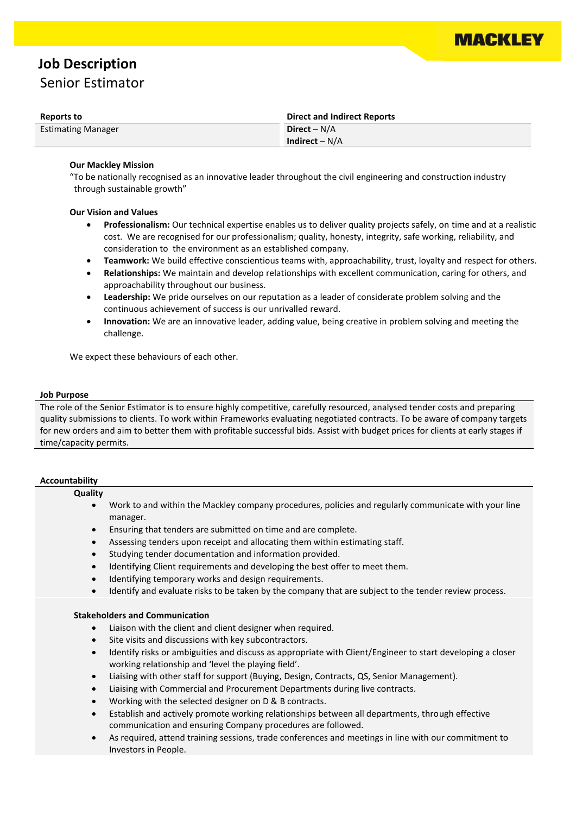

# **Job Description**

Senior Estimator

| Reports to                | <b>Direct and Indirect Reports</b> |
|---------------------------|------------------------------------|
| <b>Estimating Manager</b> | Direct – $N/A$                     |
|                           | Indirect $-N/A$                    |

## **Our Mackley Mission**

"To be nationally recognised as an innovative leader throughout the civil engineering and construction industry through sustainable growth"

### **Our Vision and Values**

- **Professionalism:** Our technical expertise enables us to deliver quality projects safely, on time and at a realistic cost. We are recognised for our professionalism; quality, honesty, integrity, safe working, reliability, and consideration to the environment as an established company.
- **Teamwork:** We build effective conscientious teams with, approachability, trust, loyalty and respect for others.
- **Relationships:** We maintain and develop relationships with excellent communication, caring for others, and approachability throughout our business.
- **Leadership:** We pride ourselves on our reputation as a leader of considerate problem solving and the continuous achievement of success is our unrivalled reward.
- **Innovation:** We are an innovative leader, adding value, being creative in problem solving and meeting the challenge.

We expect these behaviours of each other.

#### **Job Purpose**

The role of the Senior Estimator is to ensure highly competitive, carefully resourced, analysed tender costs and preparing quality submissions to clients. To work within Frameworks evaluating negotiated contracts. To be aware of company targets for new orders and aim to better them with profitable successful bids. Assist with budget prices for clients at early stages if time/capacity permits.

#### **Accountability**

#### **Quality**

- Work to and within the Mackley company procedures, policies and regularly communicate with your line manager.
- Ensuring that tenders are submitted on time and are complete.
- Assessing tenders upon receipt and allocating them within estimating staff.
- Studying tender documentation and information provided.
- Identifying Client requirements and developing the best offer to meet them.
- Identifying temporary works and design requirements.
- Identify and evaluate risks to be taken by the company that are subject to the tender review process.

#### **Stakeholders and Communication**

- Liaison with the client and client designer when required.
- Site visits and discussions with key subcontractors.
- Identify risks or ambiguities and discuss as appropriate with Client/Engineer to start developing a closer working relationship and 'level the playing field'.
- Liaising with other staff for support (Buying, Design, Contracts, QS, Senior Management).
- Liaising with Commercial and Procurement Departments during live contracts.
- Working with the selected designer on D & B contracts.
- Establish and actively promote working relationships between all departments, through effective communication and ensuring Company procedures are followed.
- As required, attend training sessions, trade conferences and meetings in line with our commitment to Investors in People.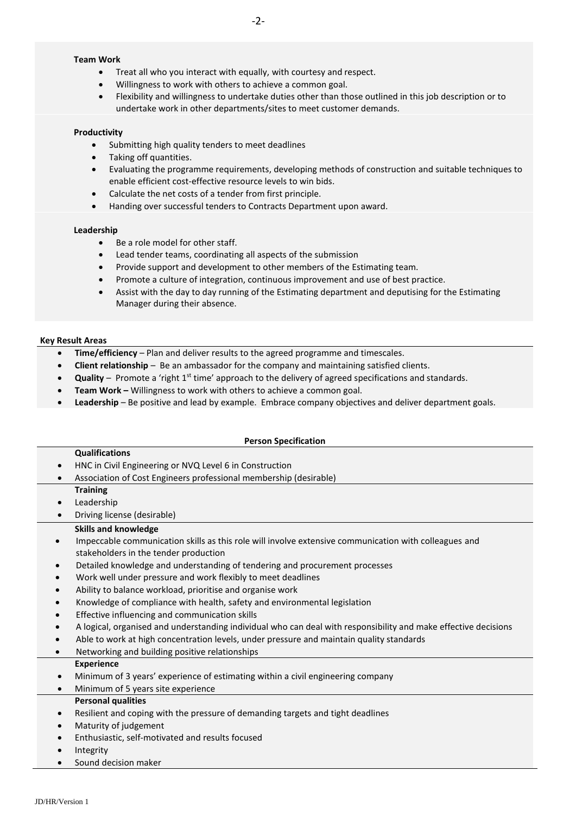## **Team Work**

- Treat all who you interact with equally, with courtesy and respect.
- Willingness to work with others to achieve a common goal.
- Flexibility and willingness to undertake duties other than those outlined in this job description or to undertake work in other departments/sites to meet customer demands.

#### **Productivity**

- Submitting high quality tenders to meet deadlines
- Taking off quantities.
- Evaluating the programme requirements, developing methods of construction and suitable techniques to enable efficient cost-effective resource levels to win bids.
- Calculate the net costs of a tender from first principle.
- Handing over successful tenders to Contracts Department upon award.

#### **Leadership**

- Be a role model for other staff.
- Lead tender teams, coordinating all aspects of the submission
- Provide support and development to other members of the Estimating team.
- Promote a culture of integration, continuous improvement and use of best practice.
- Assist with the day to day running of the Estimating department and deputising for the Estimating Manager during their absence.

#### **Key Result Areas**

- **Time/efficiency**  Plan and deliver results to the agreed programme and timescales.
- **Client relationship**  Be an ambassador for the company and maintaining satisfied clients.
- **Quality** Promote a 'right 1<sup>st</sup> time' approach to the delivery of agreed specifications and standards.
- **Team Work –** Willingness to work with others to achieve a common goal.
- **Leadership**  Be positive and lead by example. Embrace company objectives and deliver department goals.

### **Person Specification**

#### **Qualifications**

- HNC in Civil Engineering or NVQ Level 6 in Construction
- Association of Cost Engineers professional membership (desirable)
	- **Training**
	- **Leadership**
- Driving license (desirable)

#### **Skills and knowledge**

- Impeccable communication skills as this role will involve extensive communication with colleagues and stakeholders in the tender production
- Detailed knowledge and understanding of tendering and procurement processes
- Work well under pressure and work flexibly to meet deadlines
- Ability to balance workload, prioritise and organise work
- Knowledge of compliance with health, safety and environmental legislation
- Effective influencing and communication skills
- A logical, organised and understanding individual who can deal with responsibility and make effective decisions
- Able to work at high concentration levels, under pressure and maintain quality standards
- Networking and building positive relationships **Experience**
- Minimum of 3 years' experience of estimating within a civil engineering company
- Minimum of 5 years site experience **Personal qualities**
- Resilient and coping with the pressure of demanding targets and tight deadlines
- Maturity of judgement
- Enthusiastic, self-motivated and results focused
- Integrity
- Sound decision maker